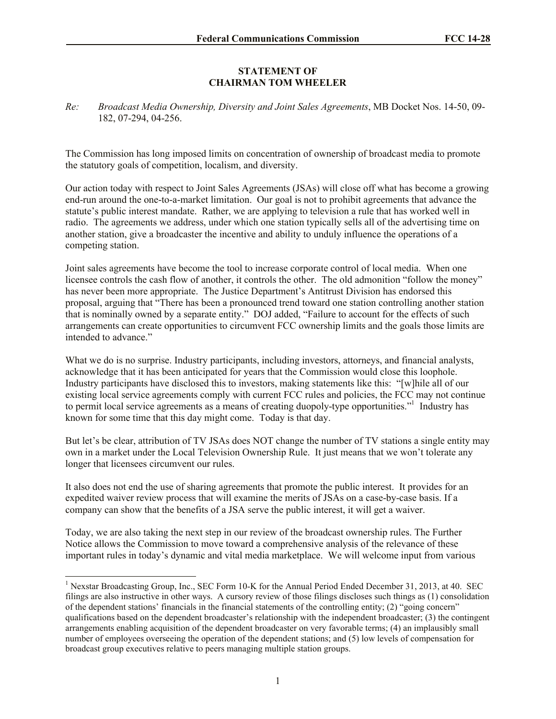## **STATEMENT OF CHAIRMAN TOM WHEELER**

*Re: Broadcast Media Ownership, Diversity and Joint Sales Agreements*, MB Docket Nos. 14-50, 09- 182, 07-294, 04-256.

The Commission has long imposed limits on concentration of ownership of broadcast media to promote the statutory goals of competition, localism, and diversity.

Our action today with respect to Joint Sales Agreements (JSAs) will close off what has become a growing end-run around the one-to-a-market limitation. Our goal is not to prohibit agreements that advance the statute's public interest mandate. Rather, we are applying to television a rule that has worked well in radio. The agreements we address, under which one station typically sells all of the advertising time on another station, give a broadcaster the incentive and ability to unduly influence the operations of a competing station.

Joint sales agreements have become the tool to increase corporate control of local media. When one licensee controls the cash flow of another, it controls the other. The old admonition "follow the money" has never been more appropriate. The Justice Department's Antitrust Division has endorsed this proposal, arguing that "There has been a pronounced trend toward one station controlling another station that is nominally owned by a separate entity." DOJ added, "Failure to account for the effects of such arrangements can create opportunities to circumvent FCC ownership limits and the goals those limits are intended to advance."

What we do is no surprise. Industry participants, including investors, attorneys, and financial analysts, acknowledge that it has been anticipated for years that the Commission would close this loophole. Industry participants have disclosed this to investors, making statements like this: "[w]hile all of our existing local service agreements comply with current FCC rules and policies, the FCC may not continue to permit local service agreements as a means of creating duopoly-type opportunities."<sup>1</sup> Industry has known for some time that this day might come. Today is that day.

But let's be clear, attribution of TV JSAs does NOT change the number of TV stations a single entity may own in a market under the Local Television Ownership Rule. It just means that we won't tolerate any longer that licensees circumvent our rules.

It also does not end the use of sharing agreements that promote the public interest. It provides for an expedited waiver review process that will examine the merits of JSAs on a case-by-case basis. If a company can show that the benefits of a JSA serve the public interest, it will get a waiver.

Today, we are also taking the next step in our review of the broadcast ownership rules. The Further Notice allows the Commission to move toward a comprehensive analysis of the relevance of these important rules in today's dynamic and vital media marketplace. We will welcome input from various

l

<sup>&</sup>lt;sup>1</sup> Nexstar Broadcasting Group, Inc., SEC Form 10-K for the Annual Period Ended December 31, 2013, at 40. SEC filings are also instructive in other ways. A cursory review of those filings discloses such things as (1) consolidation of the dependent stations' financials in the financial statements of the controlling entity; (2) "going concern" qualifications based on the dependent broadcaster's relationship with the independent broadcaster; (3) the contingent arrangements enabling acquisition of the dependent broadcaster on very favorable terms; (4) an implausibly small number of employees overseeing the operation of the dependent stations; and (5) low levels of compensation for broadcast group executives relative to peers managing multiple station groups.